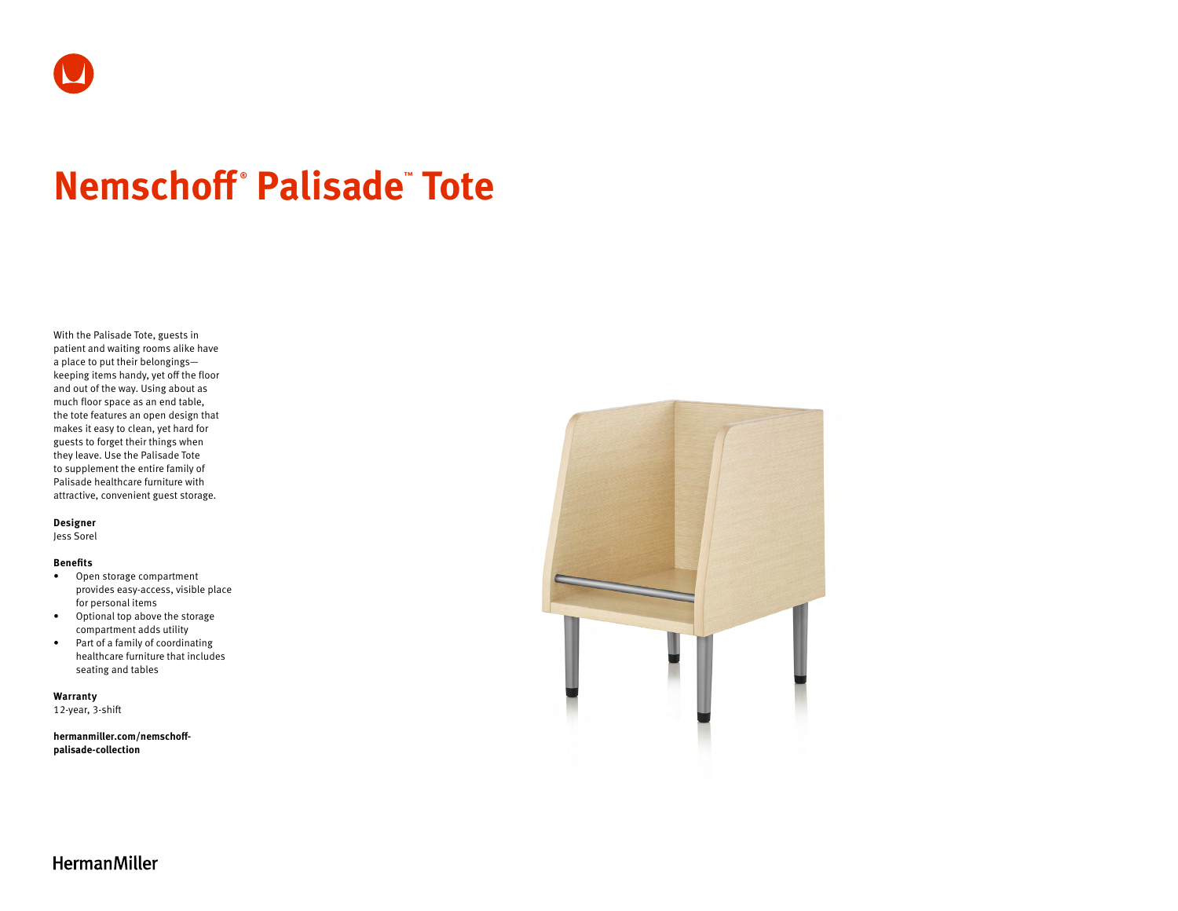

# **Nemschoff ® Palisade™ Tote**

With the Palisade Tote, guests in patient and waiting rooms alike have a place to put their belongings keeping items handy, yet off the floor and out of the way. Using about as much floor space as an end table, the tote features an open design that makes it easy to clean, yet hard for guests to forget their things when they leave. Use the Palisade Tote to supplement the entire family of Palisade healthcare furniture with attractive, convenient guest storage.

#### **Designer**

Jess Sorel

#### **Benefits**

- Open storage compartment provides easy-access, visible place for personal items
- Optional top above the storage compartment adds utility
- Part of a family of coordinating healthcare furniture that includes seating and tables

**Warranty**  12-year, 3-shift

**[hermanmiller.com/nemschoff](http://hermanmiller.com/nemschoff-palisade-collection)[palisade-collection](http://hermanmiller.com/nemschoff-palisade-collection)**